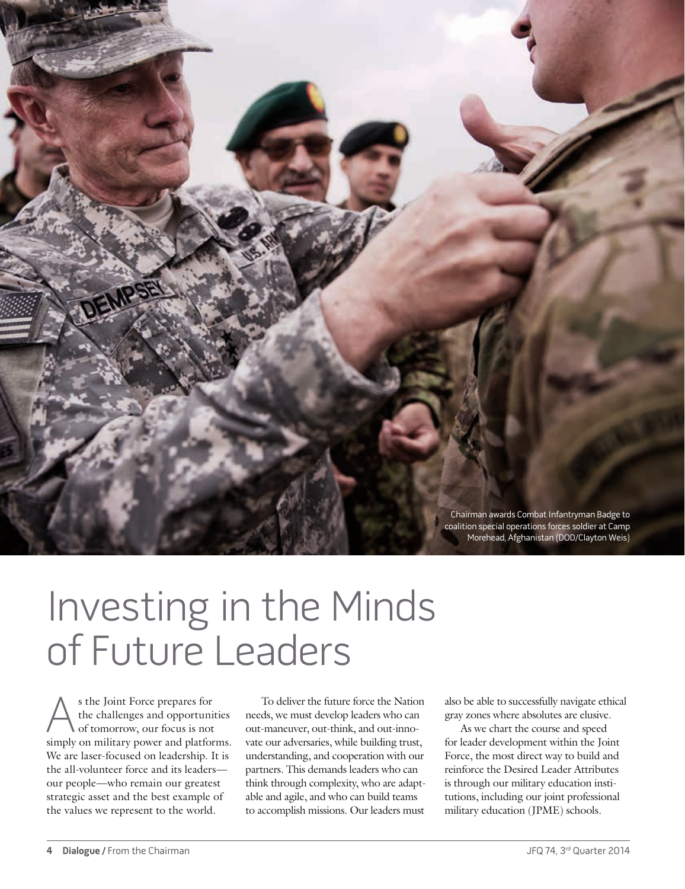Chairman awards Combat Infantryman Badge to coalition special operations forces soldier at Camp Morehead, Afghanistan (DOD/Clayton Weis)

## Investing in the Minds of Future Leaders

s the Joint Force prepares for<br>the challenges and opportunity<br>of tomorrow, our focus is not<br>simply on military power and platfor the challenges and opportunities of tomorrow, our focus is not simply on military power and platforms. We are laser-focused on leadership. It is the all-volunteer force and its leaders our people—who remain our greatest strategic asset and the best example of the values we represent to the world.

To deliver the future force the Nation needs, we must develop leaders who can out-maneuver, out-think, and out-innovate our adversaries, while building trust, understanding, and cooperation with our partners. This demands leaders who can think through complexity, who are adaptable and agile, and who can build teams to accomplish missions. Our leaders must

also be able to successfully navigate ethical gray zones where absolutes are elusive.

As we chart the course and speed for leader development within the Joint Force, the most direct way to build and reinforce the Desired Leader Attributes is through our military education institutions, including our joint professional military education (JPME) schools.

DEMPS